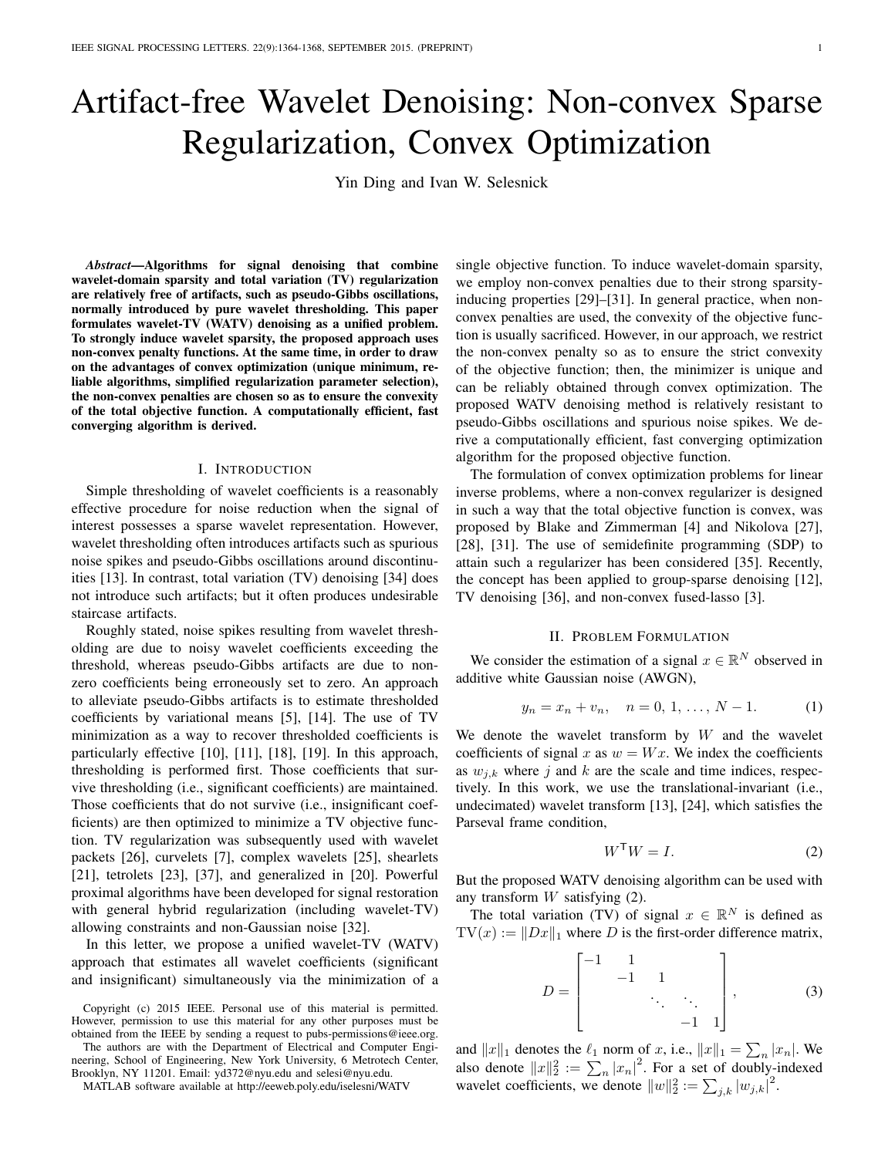# Artifact-free Wavelet Denoising: Non-convex Sparse Regularization, Convex Optimization

Yin Ding and Ivan W. Selesnick

*Abstract*—Algorithms for signal denoising that combine wavelet-domain sparsity and total variation (TV) regularization are relatively free of artifacts, such as pseudo-Gibbs oscillations, normally introduced by pure wavelet thresholding. This paper formulates wavelet-TV (WATV) denoising as a unified problem. To strongly induce wavelet sparsity, the proposed approach uses non-convex penalty functions. At the same time, in order to draw on the advantages of convex optimization (unique minimum, reliable algorithms, simplified regularization parameter selection), the non-convex penalties are chosen so as to ensure the convexity of the total objective function. A computationally efficient, fast converging algorithm is derived.

#### I. INTRODUCTION

Simple thresholding of wavelet coefficients is a reasonably effective procedure for noise reduction when the signal of interest possesses a sparse wavelet representation. However, wavelet thresholding often introduces artifacts such as spurious noise spikes and pseudo-Gibbs oscillations around discontinuities [13]. In contrast, total variation (TV) denoising [34] does not introduce such artifacts; but it often produces undesirable staircase artifacts.

Roughly stated, noise spikes resulting from wavelet thresholding are due to noisy wavelet coefficients exceeding the threshold, whereas pseudo-Gibbs artifacts are due to nonzero coefficients being erroneously set to zero. An approach to alleviate pseudo-Gibbs artifacts is to estimate thresholded coefficients by variational means [5], [14]. The use of TV minimization as a way to recover thresholded coefficients is particularly effective [10], [11], [18], [19]. In this approach, thresholding is performed first. Those coefficients that survive thresholding (i.e., significant coefficients) are maintained. Those coefficients that do not survive (i.e., insignificant coefficients) are then optimized to minimize a TV objective function. TV regularization was subsequently used with wavelet packets [26], curvelets [7], complex wavelets [25], shearlets [21], tetrolets [23], [37], and generalized in [20]. Powerful proximal algorithms have been developed for signal restoration with general hybrid regularization (including wavelet-TV) allowing constraints and non-Gaussian noise [32].

In this letter, we propose a unified wavelet-TV (WATV) approach that estimates all wavelet coefficients (significant and insignificant) simultaneously via the minimization of a

Copyright (c) 2015 IEEE. Personal use of this material is permitted. However, permission to use this material for any other purposes must be obtained from the IEEE by sending a request to pubs-permissions@ieee.org.

The authors are with the Department of Electrical and Computer Engineering, School of Engineering, New York University, 6 Metrotech Center, Brooklyn, NY 11201. Email: yd372@nyu.edu and selesi@nyu.edu.

MATLAB software available at http://eeweb.poly.edu/iselesni/WATV

single objective function. To induce wavelet-domain sparsity, we employ non-convex penalties due to their strong sparsityinducing properties [29]–[31]. In general practice, when nonconvex penalties are used, the convexity of the objective function is usually sacrificed. However, in our approach, we restrict the non-convex penalty so as to ensure the strict convexity of the objective function; then, the minimizer is unique and can be reliably obtained through convex optimization. The proposed WATV denoising method is relatively resistant to pseudo-Gibbs oscillations and spurious noise spikes. We derive a computationally efficient, fast converging optimization algorithm for the proposed objective function.

The formulation of convex optimization problems for linear inverse problems, where a non-convex regularizer is designed in such a way that the total objective function is convex, was proposed by Blake and Zimmerman [4] and Nikolova [27], [28], [31]. The use of semidefinite programming (SDP) to attain such a regularizer has been considered [35]. Recently, the concept has been applied to group-sparse denoising [12], TV denoising [36], and non-convex fused-lasso [3].

## II. PROBLEM FORMULATION

We consider the estimation of a signal  $x \in \mathbb{R}^N$  observed in additive white Gaussian noise (AWGN),

$$
y_n = x_n + v_n, \quad n = 0, 1, \dots, N - 1.
$$
 (1)

We denote the wavelet transform by  $W$  and the wavelet coefficients of signal x as  $w = Wx$ . We index the coefficients as  $w_{j,k}$  where j and k are the scale and time indices, respectively. In this work, we use the translational-invariant (i.e., undecimated) wavelet transform [13], [24], which satisfies the Parseval frame condition,

$$
W^{\mathsf{T}}W = I. \tag{2}
$$

But the proposed WATV denoising algorithm can be used with any transform W satisfying (2).

The total variation (TV) of signal  $x \in \mathbb{R}^N$  is defined as  $TV(x) := ||Dx||_1$  where D is the first-order difference matrix,

$$
D = \begin{bmatrix} -1 & 1 & & & \\ & -1 & 1 & & \\ & & \ddots & \ddots & \\ & & & -1 & 1 \end{bmatrix}, \quad (3)
$$

and  $||x||_1$  denotes the  $\ell_1$  norm of x, i.e.,  $||x||_1 = \sum_n |x_n|$ . We also denote  $||x||_2^2 := \sum_n |x_n|^2$ . For a set of doubly-indexed wavelet coefficients, we denote  $||w||_2^2 := \sum_{j,k} |w_{j,k}|^2$ .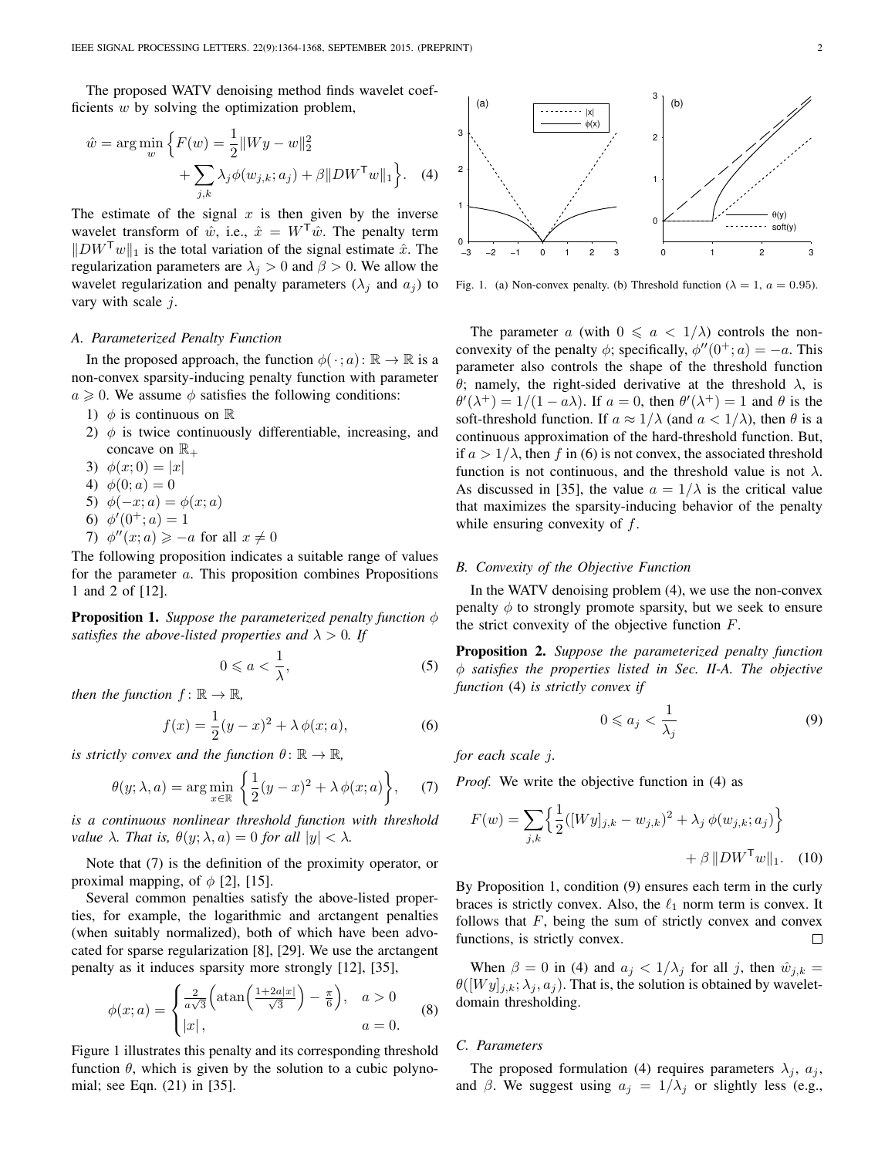The proposed WATV denoising method finds wavelet coefficients  $w$  by solving the optimization problem,

$$
\hat{w} = \arg\min_{w} \left\{ F(w) = \frac{1}{2} ||Wy - w||_2^2 + \sum_{j,k} \lambda_j \phi(w_{j,k}; a_j) + \beta ||DW^{\mathsf{T}}w||_1 \right\}.
$$
 (4)

The estimate of the signal  $x$  is then given by the inverse wavelet transform of  $\hat{w}$ , i.e.,  $\hat{x} = W^{\mathsf{T}} \hat{w}$ . The penalty term  $\Vert D W^{T} w \Vert_1$  is the total variation of the signal estimate  $\hat{x}$ . The regularization parameters are  $\lambda_j > 0$  and  $\beta > 0$ . We allow the wavelet regularization and penalty parameters  $(\lambda_i$  and  $a_i)$  to vary with scale  $j$ .

#### *A. Parameterized Penalty Function*

In the proposed approach, the function  $\phi(\cdot; a) : \mathbb{R} \to \mathbb{R}$  is a non-convex sparsity-inducing penalty function with parameter  $a \geq 0$ . We assume  $\phi$  satisfies the following conditions:

- 1)  $\phi$  is continuous on  $\mathbb R$
- 2)  $\phi$  is twice continuously differentiable, increasing, and concave on  $\mathbb{R}_+$
- 3)  $\phi(x; 0) = |x|$
- 4)  $\phi(0; a) = 0$
- 5)  $\phi(-x; a) = \phi(x; a)$
- 6)  $\phi'(0^+; a) = 1$
- 7)  $\phi''(x; a) \geq -a$  for all  $x \neq 0$

The following proposition indicates a suitable range of values for the parameter a. This proposition combines Propositions 1 and 2 of [12].

Proposition 1. *Suppose the parameterized penalty function* φ *satisfies the above-listed properties and*  $\lambda > 0$ *. If* 

$$
0 \leqslant a < \frac{1}{\lambda},\tag{5}
$$

*then the function*  $f: \mathbb{R} \to \mathbb{R}$ ,

$$
f(x) = \frac{1}{2}(y - x)^2 + \lambda \phi(x; a),
$$
 (6)

*is strictly convex and the function*  $\theta \colon \mathbb{R} \to \mathbb{R}$ ,

$$
\theta(y; \lambda, a) = \arg\min_{x \in \mathbb{R}} \left\{ \frac{1}{2}(y - x)^2 + \lambda \phi(x; a) \right\}, \quad (7)
$$

*is a continuous nonlinear threshold function with threshold value*  $\lambda$ *. That is,*  $\theta(y; \lambda, a) = 0$  *for all*  $|y| < \lambda$ *.* 

Note that (7) is the definition of the proximity operator, or proximal mapping, of  $\phi$  [2], [15].

Several common penalties satisfy the above-listed properties, for example, the logarithmic and arctangent penalties (when suitably normalized), both of which have been advocated for sparse regularization [8], [29]. We use the arctangent penalty as it induces sparsity more strongly [12], [35],

$$
\phi(x;a) = \begin{cases} \frac{2}{a\sqrt{3}} \left( \operatorname{atan}\left(\frac{1+2a|x|}{\sqrt{3}}\right) - \frac{\pi}{6} \right), & a > 0\\ |x|, & a = 0. \end{cases}
$$
(8)

Figure 1 illustrates this penalty and its corresponding threshold function  $\theta$ , which is given by the solution to a cubic polynomial; see Eqn. (21) in [35].



Fig. 1. (a) Non-convex penalty. (b) Threshold function ( $\lambda = 1$ ,  $a = 0.95$ ).

The parameter a (with  $0 \le a \le 1/\lambda$ ) controls the nonconvexity of the penalty  $\phi$ ; specifically,  $\phi''(0^+; a) = -a$ . This parameter also controls the shape of the threshold function θ; namely, the right-sided derivative at the threshold  $λ$ , is  $\theta'(\lambda^+) = 1/(1 - a\lambda)$ . If  $a = 0$ , then  $\theta'(\lambda^+) = 1$  and  $\theta$  is the soft-threshold function. If  $a \approx 1/\lambda$  (and  $a < 1/\lambda$ ), then  $\theta$  is a continuous approximation of the hard-threshold function. But, if  $a > 1/\lambda$ , then f in (6) is not convex, the associated threshold function is not continuous, and the threshold value is not  $\lambda$ . As discussed in [35], the value  $a = 1/\lambda$  is the critical value that maximizes the sparsity-inducing behavior of the penalty while ensuring convexity of  $f$ .

## *B. Convexity of the Objective Function*

In the WATV denoising problem (4), we use the non-convex penalty  $\phi$  to strongly promote sparsity, but we seek to ensure the strict convexity of the objective function  $F$ .

Proposition 2. *Suppose the parameterized penalty function* φ *satisfies the properties listed in Sec. II-A. The objective function* (4) *is strictly convex if*

$$
0 \leqslant a_j < \frac{1}{\lambda_j} \tag{9}
$$

*for each scale* j*.*

*Proof.* We write the objective function in (4) as

$$
F(w) = \sum_{j,k} \left\{ \frac{1}{2} ([Wy]_{j,k} - w_{j,k})^2 + \lambda_j \, \phi(w_{j,k}; a_j) \right\} + \beta \, \|DW^\mathsf{T} w\|_1. \tag{10}
$$

By Proposition 1, condition (9) ensures each term in the curly braces is strictly convex. Also, the  $\ell_1$  norm term is convex. It follows that  $F$ , being the sum of strictly convex and convex functions, is strictly convex.  $\Box$ 

When  $\beta = 0$  in (4) and  $a_j < 1/\lambda_j$  for all j, then  $\hat{w}_{j,k} =$  $\theta([Wy]_{j,k};\lambda_j,a_j)$ . That is, the solution is obtained by waveletdomain thresholding.

## *C. Parameters*

The proposed formulation (4) requires parameters  $\lambda_i$ ,  $a_j$ , and  $\beta$ . We suggest using  $a_i = 1/\lambda_i$  or slightly less (e.g.,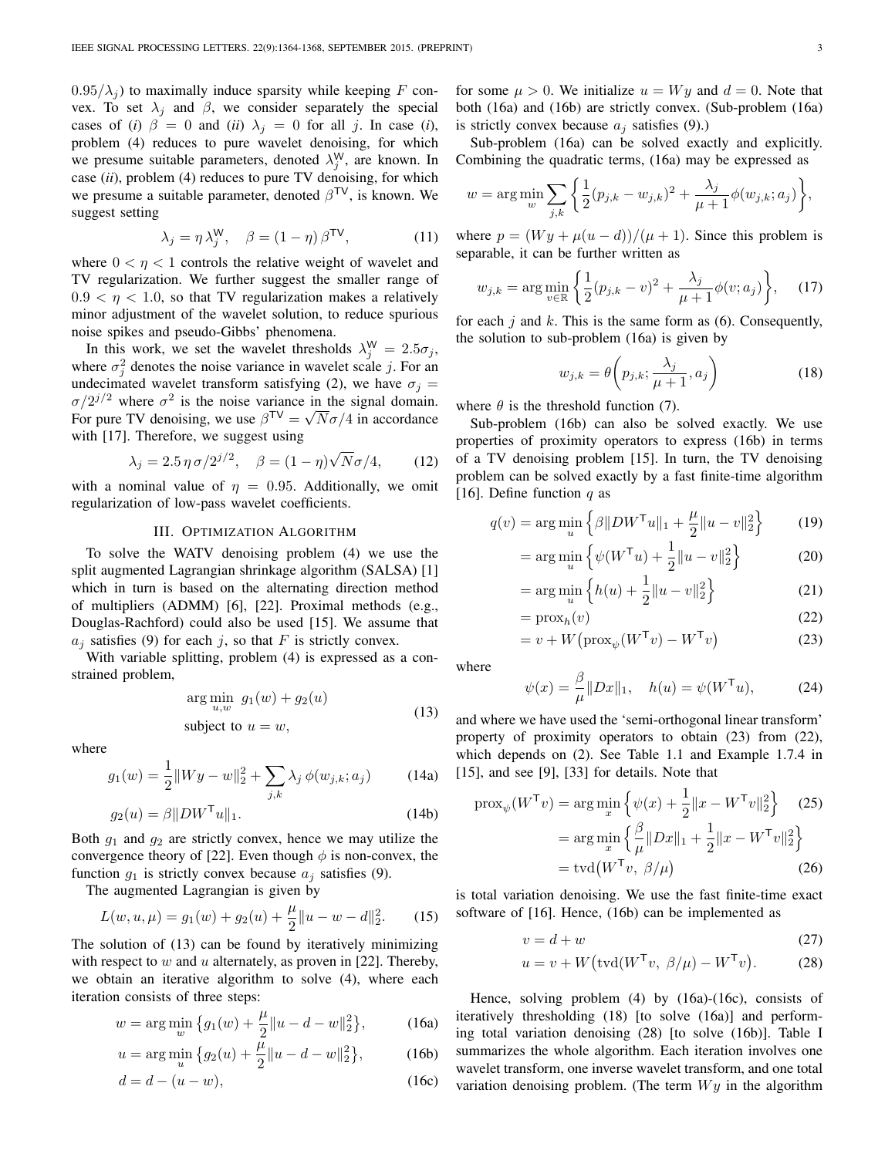$0.95/\lambda_i$ ) to maximally induce sparsity while keeping F convex. To set  $\lambda_j$  and  $\beta$ , we consider separately the special cases of (*i*)  $\beta = 0$  and (*ii*)  $\lambda_i = 0$  for all *j*. In case (*i*), problem (4) reduces to pure wavelet denoising, for which we presume suitable parameters, denoted  $\lambda_j^W$ , are known. In case (*ii*), problem (4) reduces to pure TV denoising, for which we presume a suitable parameter, denoted  $\beta^{TV}$ , is known. We suggest setting

$$
\lambda_j = \eta \lambda_j^{\mathsf{W}}, \quad \beta = (1 - \eta) \beta^{\mathsf{TV}}, \tag{11}
$$

where  $0 < \eta < 1$  controls the relative weight of wavelet and TV regularization. We further suggest the smaller range of  $0.9 < \eta < 1.0$ , so that TV regularization makes a relatively minor adjustment of the wavelet solution, to reduce spurious noise spikes and pseudo-Gibbs' phenomena.

In this work, we set the wavelet thresholds  $\lambda_j^{\mathsf{W}} = 2.5\sigma_j$ , where  $\sigma_j^2$  denotes the noise variance in wavelet scale j. For an undecimated wavelet transform satisfying (2), we have  $\sigma_j =$  $\sigma/2^{j/2}$  where  $\sigma^2$  is the noise variance in the signal domain. For pure TV denoising, we use  $\beta^{\text{TV}} = \sqrt{N} \sigma / 4$  in accordance with [17]. Therefore, we suggest using √

$$
\lambda_j = 2.5 \eta \sigma / 2^{j/2}, \quad \beta = (1 - \eta) \sqrt{N} \sigma / 4, \quad (12)
$$

with a nominal value of  $\eta = 0.95$ . Additionally, we omit regularization of low-pass wavelet coefficients.

## III. OPTIMIZATION ALGORITHM

To solve the WATV denoising problem (4) we use the split augmented Lagrangian shrinkage algorithm (SALSA) [1] which in turn is based on the alternating direction method of multipliers (ADMM) [6], [22]. Proximal methods (e.g., Douglas-Rachford) could also be used [15]. We assume that  $a_i$  satisfies (9) for each j, so that F is strictly convex.

With variable splitting, problem (4) is expressed as a constrained problem,

$$
\arg\min_{u,w} g_1(w) + g_2(u)
$$
  
subject to  $u = w$ , (13)

where

$$
g_1(w) = \frac{1}{2} ||Wy - w||_2^2 + \sum_{j,k} \lambda_j \, \phi(w_{j,k}; a_j)
$$
 (14a)

$$
g_2(u) = \beta \|DW^\mathsf{T} u\|_1. \tag{14b}
$$

Both  $g_1$  and  $g_2$  are strictly convex, hence we may utilize the convergence theory of [22]. Even though  $\phi$  is non-convex, the function  $g_1$  is strictly convex because  $a_i$  satisfies (9).

The augmented Lagrangian is given by

$$
L(w, u, \mu) = g_1(w) + g_2(u) + \frac{\mu}{2} ||u - w - d||_2^2.
$$
 (15)

The solution of (13) can be found by iteratively minimizing with respect to  $w$  and  $u$  alternately, as proven in [22]. Thereby, we obtain an iterative algorithm to solve (4), where each iteration consists of three steps:

$$
w = \arg\min_{w} \left\{ g_1(w) + \frac{\mu}{2} ||u - d - w||_2^2 \right\},\tag{16a}
$$

$$
u = \arg\min_{u} \left\{ g_2(u) + \frac{\bar{\mu}}{2} ||u - d - w||_2^2 \right\},\tag{16b}
$$

$$
d = d - (u - w), \tag{16c}
$$

for some  $\mu > 0$ . We initialize  $u = Wy$  and  $d = 0$ . Note that both (16a) and (16b) are strictly convex. (Sub-problem (16a) is strictly convex because  $a_i$  satisfies (9).)

Sub-problem (16a) can be solved exactly and explicitly. Combining the quadratic terms, (16a) may be expressed as

$$
w = \arg \min_{w} \sum_{j,k} \left\{ \frac{1}{2} (p_{j,k} - w_{j,k})^2 + \frac{\lambda_j}{\mu + 1} \phi(w_{j,k}; a_j) \right\},\,
$$

where  $p = (Wy + \mu(u - d)) / (\mu + 1)$ . Since this problem is separable, it can be further written as

$$
w_{j,k} = \arg\min_{v \in \mathbb{R}} \left\{ \frac{1}{2} (p_{j,k} - v)^2 + \frac{\lambda_j}{\mu + 1} \phi(v; a_j) \right\}, \quad (17)
$$

for each  $j$  and  $k$ . This is the same form as (6). Consequently, the solution to sub-problem (16a) is given by

$$
w_{j,k} = \theta\left(p_{j,k}; \frac{\lambda_j}{\mu+1}, a_j\right) \tag{18}
$$

where  $\theta$  is the threshold function (7).

Sub-problem (16b) can also be solved exactly. We use properties of proximity operators to express (16b) in terms of a TV denoising problem [15]. In turn, the TV denoising problem can be solved exactly by a fast finite-time algorithm [16]. Define function q as

$$
q(v) = \arg\min_{u} \left\{ \beta \| DW^{\mathsf{T}} u \|_1 + \frac{\mu}{2} \| u - v \|_2^2 \right\} \tag{19}
$$

$$
= \arg\min_{u} \left\{ \psi(W^{\mathsf{T}}u) + \frac{1}{2} ||u - v||_2^2 \right\}
$$
 (20)

$$
= \arg\min_{u} \left\{ h(u) + \frac{1}{2} ||u - v||_2^2 \right\}
$$
 (21)

$$
= \operatorname{prox}_{h}(v) \tag{22}
$$

$$
= v + W(\text{prox}_{\psi}(W^{\mathsf{T}}v) - W^{\mathsf{T}}v)
$$
\n(23)

where

$$
\psi(x) = \frac{\beta}{\mu} \|Dx\|_1, \quad h(u) = \psi(W^{\mathsf{T}}u), \tag{24}
$$

and where we have used the 'semi-orthogonal linear transform' property of proximity operators to obtain (23) from (22), which depends on (2). See Table 1.1 and Example 1.7.4 in [15], and see [9], [33] for details. Note that

$$
\text{prox}_{\psi}(W^{\mathsf{T}}v) = \arg\min_{x} \left\{ \psi(x) + \frac{1}{2} ||x - W^{\mathsf{T}}v||_2^2 \right\} \quad (25)
$$

$$
= \arg\min_{x} \left\{ \frac{\beta}{\mu} ||Dx||_1 + \frac{1}{2} ||x - W^{\mathsf{T}}v||_2^2 \right\}
$$

$$
= \text{tvd}(W^{\mathsf{T}}v, \ \beta/\mu) \quad (26)
$$

is total variation denoising. We use the fast finite-time exact software of [16]. Hence, (16b) can be implemented as

$$
v = d + w \tag{27}
$$

$$
u = v + W(\text{tvd}(W^{\mathsf{T}}v, \beta/\mu) - W^{\mathsf{T}}v). \tag{28}
$$

Hence, solving problem (4) by (16a)-(16c), consists of iteratively thresholding (18) [to solve (16a)] and performing total variation denoising (28) [to solve (16b)]. Table I summarizes the whole algorithm. Each iteration involves one wavelet transform, one inverse wavelet transform, and one total variation denoising problem. (The term  $Wy$  in the algorithm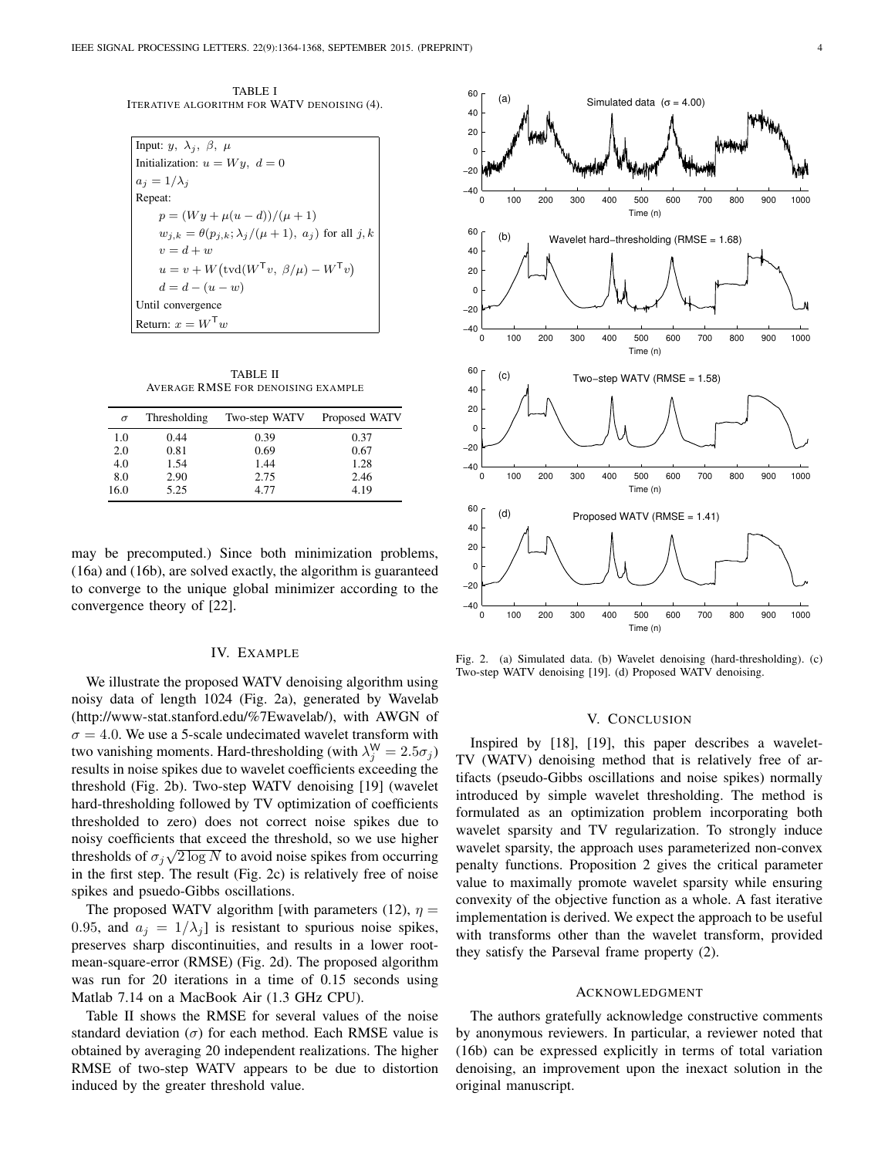TABLE I ITERATIVE ALGORITHM FOR WATV DENOISING (4).

| Input: $y, \lambda_i, \beta, \mu$                                     |
|-----------------------------------------------------------------------|
| Initialization: $u = Wy$ , $d = 0$                                    |
| $a_i = 1/\lambda_i$                                                   |
| Repeat:                                                               |
| $p = (Wy + \mu(u - d)) / (\mu + 1)$                                   |
| $w_{i,k} = \theta(p_{i,k}; \lambda_i/(\mu+1), a_i)$ for all j, k      |
| $v = d + w$                                                           |
| $u = v + W(\text{tvd}(W^{\mathsf{T}}v, \beta/\mu) - W^{\mathsf{T}}v)$ |
| $d = d - (u - w)$                                                     |
| Until convergence                                                     |
| Return: $x = W^{\mathsf{T}}w$                                         |

TABLE II AVERAGE RMSE FOR DENOISING EXAMPLE

| $\sigma$ | Thresholding | Two-step WATV | Proposed WATV |
|----------|--------------|---------------|---------------|
| 1.0      | 0.44         | 0.39          | 0.37          |
| 2.0      | 0.81         | 0.69          | 0.67          |
| 4.0      | 1.54         | 1.44          | 1.28          |
| 8.0      | 2.90         | 2.75          | 2.46          |
| 16.0     | 5.25         | 4.77          | 4.19          |

may be precomputed.) Since both minimization problems, (16a) and (16b), are solved exactly, the algorithm is guaranteed to converge to the unique global minimizer according to the convergence theory of [22].

## IV. EXAMPLE

We illustrate the proposed WATV denoising algorithm using noisy data of length 1024 (Fig. 2a), generated by Wavelab (http://www-stat.stanford.edu/%7Ewavelab/), with AWGN of  $\sigma = 4.0$ . We use a 5-scale undecimated wavelet transform with two vanishing moments. Hard-thresholding (with  $\lambda_j^{\mathsf{W}} = 2.5\sigma_j$ ) results in noise spikes due to wavelet coefficients exceeding the threshold (Fig. 2b). Two-step WATV denoising [19] (wavelet hard-thresholding followed by TV optimization of coefficients thresholded to zero) does not correct noise spikes due to noisy coefficients that exceed the threshold, so we use higher thresholds of  $\sigma_j \sqrt{2 \log N}$  to avoid noise spikes from occurring in the first step. The result (Fig. 2c) is relatively free of noise spikes and psuedo-Gibbs oscillations.

The proposed WATV algorithm [with parameters (12),  $\eta$  = 0.95, and  $a_i = 1/\lambda_i$  is resistant to spurious noise spikes, preserves sharp discontinuities, and results in a lower rootmean-square-error (RMSE) (Fig. 2d). The proposed algorithm was run for 20 iterations in a time of 0.15 seconds using Matlab 7.14 on a MacBook Air (1.3 GHz CPU).

Table II shows the RMSE for several values of the noise standard deviation  $(\sigma)$  for each method. Each RMSE value is obtained by averaging 20 independent realizations. The higher RMSE of two-step WATV appears to be due to distortion induced by the greater threshold value.



Fig. 2. (a) Simulated data. (b) Wavelet denoising (hard-thresholding). (c) Two-step WATV denoising [19]. (d) Proposed WATV denoising.

#### V. CONCLUSION

Inspired by [18], [19], this paper describes a wavelet-TV (WATV) denoising method that is relatively free of artifacts (pseudo-Gibbs oscillations and noise spikes) normally introduced by simple wavelet thresholding. The method is formulated as an optimization problem incorporating both wavelet sparsity and TV regularization. To strongly induce wavelet sparsity, the approach uses parameterized non-convex penalty functions. Proposition 2 gives the critical parameter value to maximally promote wavelet sparsity while ensuring convexity of the objective function as a whole. A fast iterative implementation is derived. We expect the approach to be useful with transforms other than the wavelet transform, provided they satisfy the Parseval frame property (2).

#### ACKNOWLEDGMENT

The authors gratefully acknowledge constructive comments by anonymous reviewers. In particular, a reviewer noted that (16b) can be expressed explicitly in terms of total variation denoising, an improvement upon the inexact solution in the original manuscript.